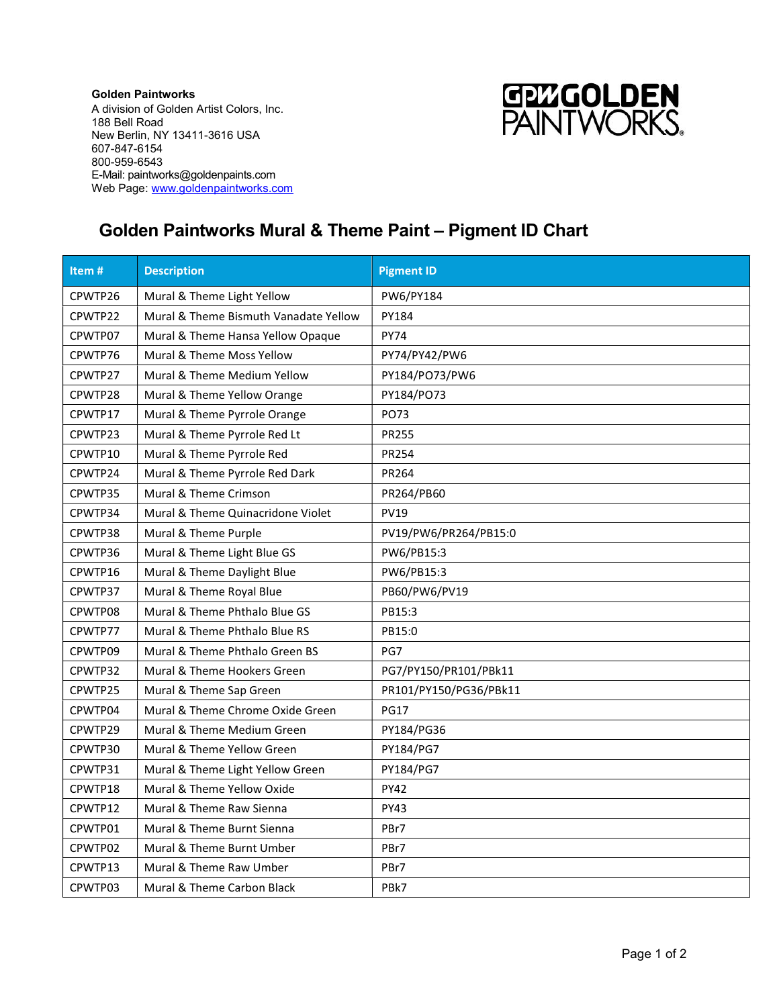Golden Paintworks A division of Golden Artist Colors, Inc. 188 Bell Road New Berlin, NY 13411-3616 USA 607-847-6154 800-959-6543 E-Mail: paintworks@goldenpaints.com Web Page: www.goldenpaintworks.com



## Golden Paintworks Mural & Theme Paint – Pigment ID Chart

| Item#   | <b>Description</b>                    | <b>Pigment ID</b>      |
|---------|---------------------------------------|------------------------|
| CPWTP26 | Mural & Theme Light Yellow            | PW6/PY184              |
| CPWTP22 | Mural & Theme Bismuth Vanadate Yellow | PY184                  |
| CPWTP07 | Mural & Theme Hansa Yellow Opaque     | <b>PY74</b>            |
| CPWTP76 | Mural & Theme Moss Yellow             | PY74/PY42/PW6          |
| CPWTP27 | Mural & Theme Medium Yellow           | PY184/PO73/PW6         |
| CPWTP28 | Mural & Theme Yellow Orange           | PY184/PO73             |
| CPWTP17 | Mural & Theme Pyrrole Orange          | PO73                   |
| CPWTP23 | Mural & Theme Pyrrole Red Lt          | <b>PR255</b>           |
| CPWTP10 | Mural & Theme Pyrrole Red             | PR254                  |
| CPWTP24 | Mural & Theme Pyrrole Red Dark        | PR264                  |
| CPWTP35 | Mural & Theme Crimson                 | PR264/PB60             |
| CPWTP34 | Mural & Theme Quinacridone Violet     | <b>PV19</b>            |
| CPWTP38 | Mural & Theme Purple                  | PV19/PW6/PR264/PB15:0  |
| CPWTP36 | Mural & Theme Light Blue GS           | PW6/PB15:3             |
| CPWTP16 | Mural & Theme Daylight Blue           | PW6/PB15:3             |
| CPWTP37 | Mural & Theme Royal Blue              | PB60/PW6/PV19          |
| CPWTP08 | Mural & Theme Phthalo Blue GS         | PB15:3                 |
| CPWTP77 | Mural & Theme Phthalo Blue RS         | PB15:0                 |
| CPWTP09 | Mural & Theme Phthalo Green BS        | PG7                    |
| CPWTP32 | Mural & Theme Hookers Green           | PG7/PY150/PR101/PBk11  |
| CPWTP25 | Mural & Theme Sap Green               | PR101/PY150/PG36/PBk11 |
| CPWTP04 | Mural & Theme Chrome Oxide Green      | <b>PG17</b>            |
| CPWTP29 | Mural & Theme Medium Green            | PY184/PG36             |
| CPWTP30 | Mural & Theme Yellow Green            | PY184/PG7              |
| CPWTP31 | Mural & Theme Light Yellow Green      | PY184/PG7              |
| CPWTP18 | Mural & Theme Yellow Oxide            | <b>PY42</b>            |
| CPWTP12 | Mural & Theme Raw Sienna              | <b>PY43</b>            |
| CPWTP01 | Mural & Theme Burnt Sienna            | PBr7                   |
| CPWTP02 | Mural & Theme Burnt Umber             | PBr7                   |
| CPWTP13 | Mural & Theme Raw Umber               | PBr7                   |
| CPWTP03 | Mural & Theme Carbon Black            | PBk7                   |